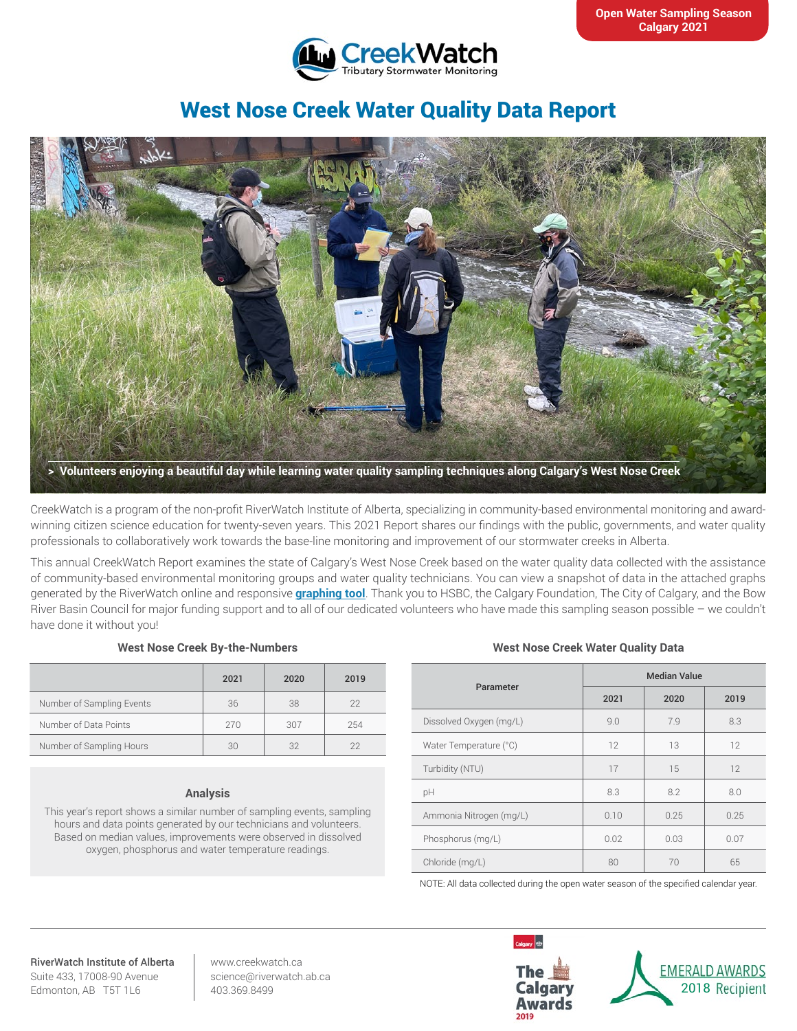

# West Nose Creek Water Quality Data Report



CreekWatch is a program of the non-profit RiverWatch Institute of Alberta, specializing in community-based environmental monitoring and awardwinning citizen science education for twenty-seven years. This 2021 Report shares our findings with the public, governments, and water quality professionals to collaboratively work towards the base-line monitoring and improvement of our stormwater creeks in Alberta.

This annual CreekWatch Report examines the state of Calgary's West Nose Creek based on the water quality data collected with the assistance of community-based environmental monitoring groups and water quality technicians. You can view a snapshot of data in the attached graphs generated by the RiverWatch online and responsive **[graphing tool](http://www.riverwatch.ab.ca/index.php/science/data)**. Thank you to HSBC, the Calgary Foundation, The City of Calgary, and the Bow River Basin Council for major funding support and to all of our dedicated volunteers who have made this sampling season possible – we couldn't have done it without you!

## **West Nose Creek By-the-Numbers**

|                           | 2021 | 2020 | 2019 |
|---------------------------|------|------|------|
| Number of Sampling Events | 36   | 38   | 22   |
| Number of Data Points     | 270  | 307  | 254  |
| Number of Sampling Hours  | 30   | 32   | 22   |

## **Analysis**

This year's report shows a similar number of sampling events, sampling hours and data points generated by our technicians and volunteers. Based on median values, improvements were observed in dissolved oxygen, phosphorus and water temperature readings.

## **West Nose Creek Water Quality Data**

| Parameter               | <b>Median Value</b> |      |      |
|-------------------------|---------------------|------|------|
|                         | 2021                | 2020 | 2019 |
| Dissolved Oxygen (mg/L) | 9.0                 | 7.9  | 8.3  |
| Water Temperature (°C)  | 12                  | 13   | 12   |
| Turbidity (NTU)         | 17                  | 15   | 12   |
| pH                      | 8.3                 | 8.2  | 8.0  |
| Ammonia Nitrogen (mg/L) | 0.10                | 0.25 | 0.25 |
| Phosphorus (mg/L)       | 0.02                | 0.03 | 0.07 |
| Chloride (mg/L)         | 80                  | 70   | 65   |

NOTE: All data collected during the open water season of the specified calendar year.

#### RiverWatch Institute of Alberta Suite 433, 17008-90 Avenue Edmonton, AB T5T 1L6

www.creekwatch.ca science@riverwatch.ab.ca 403.369.8499